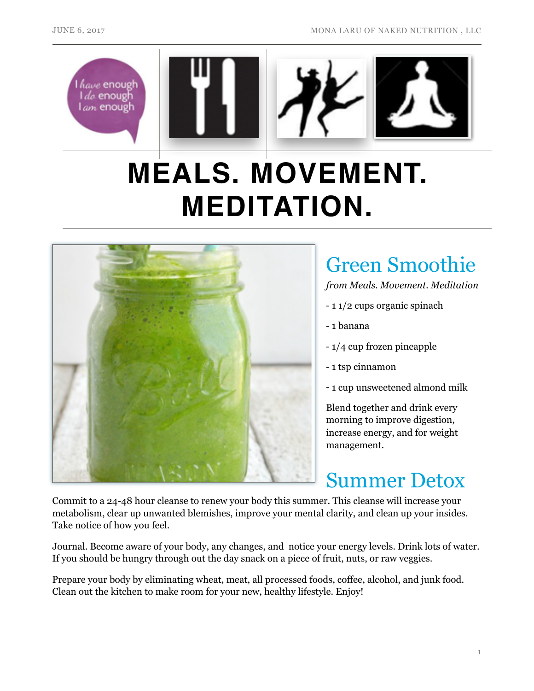

# **MEALS. MOVEMENT. MEDITATION.**



# Green Smoothie

*from Meals. Movement. Meditation* 

- 1 1/2 cups organic spinach
- 1 banana
- 1/4 cup frozen pineapple
- 1 tsp cinnamon
- 1 cup unsweetened almond milk

Blend together and drink every morning to improve digestion, increase energy, and for weight management.

## Summer Detox

Commit to a 24-48 hour cleanse to renew your body this summer. This cleanse will increase your metabolism, clear up unwanted blemishes, improve your mental clarity, and clean up your insides. Take notice of how you feel.

Journal. Become aware of your body, any changes, and notice your energy levels. Drink lots of water. If you should be hungry through out the day snack on a piece of fruit, nuts, or raw veggies.

Prepare your body by eliminating wheat, meat, all processed foods, coffee, alcohol, and junk food. Clean out the kitchen to make room for your new, healthy lifestyle. Enjoy!